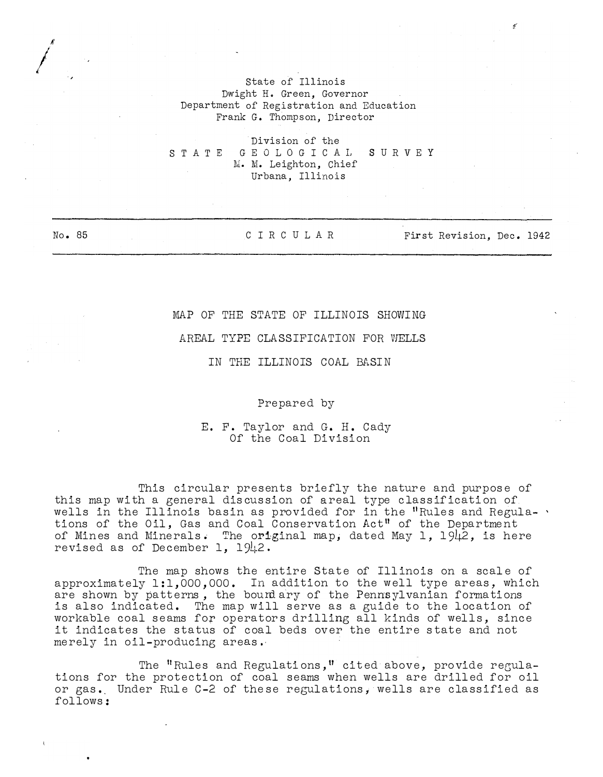State of Illinois Dwight H. Green, Governor Department of Registration and Education Frank G. Thompson, Director

Division of the S T A T E G E O L O G I C A L S U R V E Y M. M. Leighton, Chief Urbana, Illinois

 $\bigg/$ 

A'

.,

No. 85 CIRCULAR First Revision, Dec. 1942

## MAP OF THE STATE OF ILLINOIS SHOWING

## AREAL TYPE CLASSIFICATION FOR WELLS

IN THE ILLINOIS COAL BASIN

Prepared by

E. F. Taylor and G. H. Cady Of the Coal Division

This circular presents briefly the nature and purpose of this map with a general discussion of areal type classification of wells in the Illinois basin as provided for in the "Rules and Regula-  $\cdot$ tions of the Oil, Gas and Coal Conservation Act11 of the Department of Mines and Minerals. The original map, dated May 1, 1942, is here revised as of December 1,  $1942$ .

The map shows the entire State of Illinois on a scale of approximately  $1:1,000,000$ . In addition to the well type areas, which are shown by patterns, the bourdary of the Pennsylvanian formations is also indicated. The map will serve as a guide to the location of workable coal seams for operators drilling all kinds of wells, since it indicates the status of coal beds over the entire state and not merely in oil-producing areas ..

The "Rules and Regulations," cited above, provide regulations for the protection of coal seams when wells are drilled for oil or gas. Under Rule C-2 of these regulations, wells are classified as follows: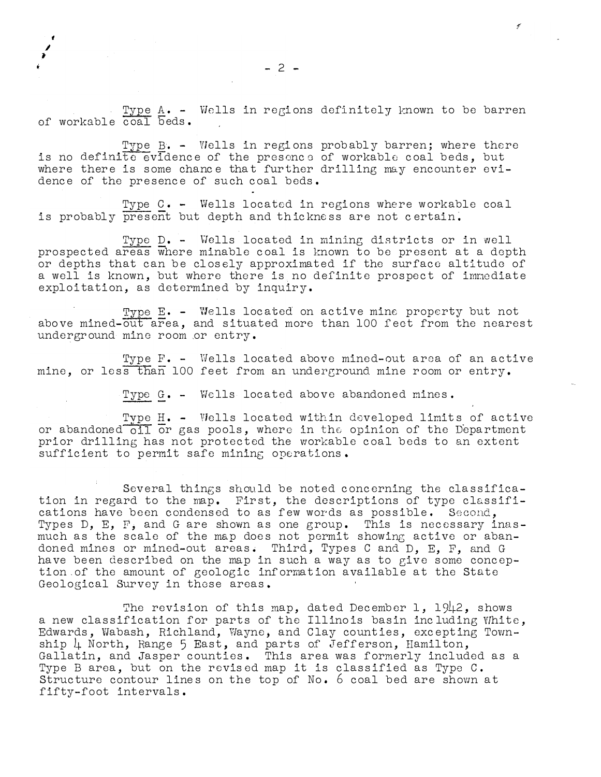Type A. - Wells in regions definitely known to be barren of workable coal beds.

Type  $B$ . - Wells in regions probably barren; where there is no definite evidence of the presence of workable coal beds, but where there is some chance that further drilling may encounter evidence of the presence of such coal beds.

Type c. - Wells located in regions where workable coal is probably present but depth and thickness are not certain.

Type D. - Wells located in mining districts or in well prospected areas where minable coal is known to be present at a depth or depths that can be closely approximated if the surface altitude of a well is known, but where there is no definite prospect of immediate exploitation, as determined by inquiry.

Type E. - Wells located on active mine property but not above mined-out area, and situated more than 100 feet from the nearest underground mine room or entry.

Type F. - Wells located above mined-out area of an active mine, or less than 100 feet from an underground mine room or entry.

Type G. - Wells located above abandoned mines.

Type H. - Wells located within developed limits of active<br>or abandoned oil or gas pools, where in the opinion of the Department prior drilling has not protected the workable coal beds to an extent sufficient to permit safe mining operations.

Several things should be noted concerning the classification in regard to the map. First, the descriptions of type classifications have been condensed to as few words as possible. Second, Types D, E,  $F$ , and G are shown as one group. This is necessary inasmuch as the scale of the map does not permit showing active or abandoned mines or mined-out areas. Third, Types C and D, E, F, and G have been described on the map in such a way as to give some conception of the amount of geologic information available at the State Geological Survey in those areas.

The revision of this map, dated December 1, 1942, shows a new classification for parts of the Illinois basin including White, Edwards, Wabash, Richland, Wayne, and Clay counties, excepting Township  $\downarrow$  North, Range 5 East, and parts of Jefferson, Hamilton, Gallatin, and Jasper counties. This area was formerly included as a Type B area, but on the revised map it is classified as Typo C. Structure contour lines on the top of No. 6 coal bed are shown at fifty-foot intervals.